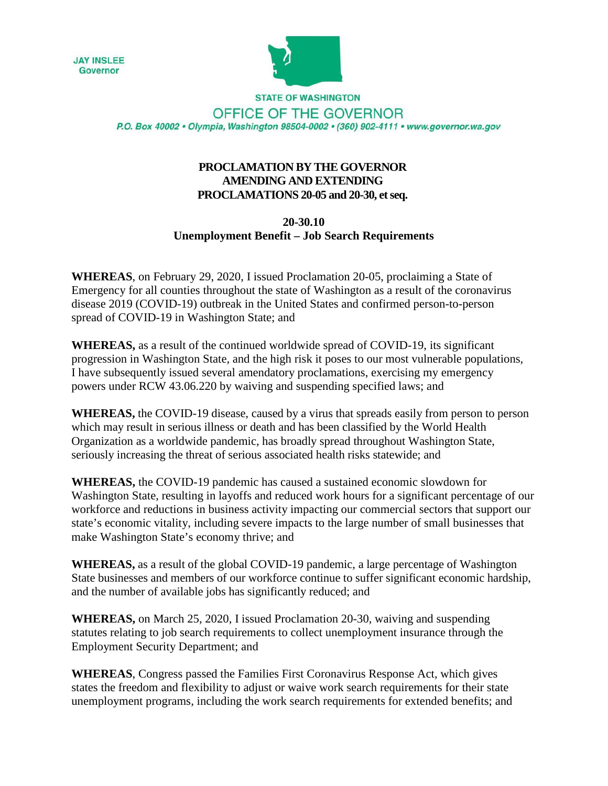



**STATE OF WASHINGTON** OFFICE OF THE GOVERNOR P.O. Box 40002 · Olympia, Washington 98504-0002 · (360) 902-4111 · www.governor.wa.gov

## **PROCLAMATION BY THE GOVERNOR AMENDING AND EXTENDING PROCLAMATIONS 20-05 and 20-30, et seq.**

## **20-30.10 Unemployment Benefit – Job Search Requirements**

**WHEREAS**, on February 29, 2020, I issued Proclamation 20-05, proclaiming a State of Emergency for all counties throughout the state of Washington as a result of the coronavirus disease 2019 (COVID-19) outbreak in the United States and confirmed person-to-person spread of COVID-19 in Washington State; and

**WHEREAS,** as a result of the continued worldwide spread of COVID-19, its significant progression in Washington State, and the high risk it poses to our most vulnerable populations, I have subsequently issued several amendatory proclamations, exercising my emergency powers under RCW 43.06.220 by waiving and suspending specified laws; and

**WHEREAS,** the COVID-19 disease, caused by a virus that spreads easily from person to person which may result in serious illness or death and has been classified by the World Health Organization as a worldwide pandemic, has broadly spread throughout Washington State, seriously increasing the threat of serious associated health risks statewide; and

**WHEREAS,** the COVID-19 pandemic has caused a sustained economic slowdown for Washington State, resulting in layoffs and reduced work hours for a significant percentage of our workforce and reductions in business activity impacting our commercial sectors that support our state's economic vitality, including severe impacts to the large number of small businesses that make Washington State's economy thrive; and

**WHEREAS,** as a result of the global COVID-19 pandemic, a large percentage of Washington State businesses and members of our workforce continue to suffer significant economic hardship, and the number of available jobs has significantly reduced; and

**WHEREAS,** on March 25, 2020, I issued Proclamation 20-30, waiving and suspending statutes relating to job search requirements to collect unemployment insurance through the Employment Security Department; and

**WHEREAS**, Congress passed the Families First Coronavirus Response Act, which gives states the freedom and flexibility to adjust or waive work search requirements for their state unemployment programs, including the work search requirements for extended benefits; and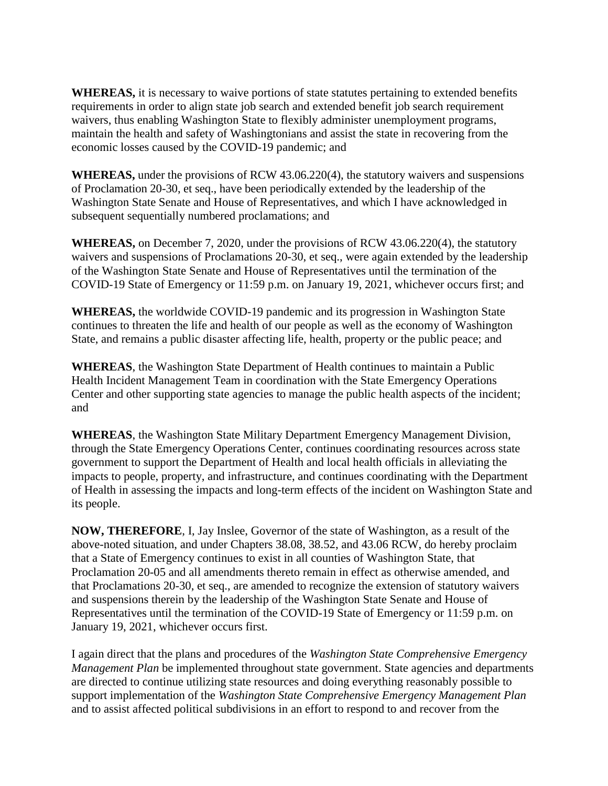**WHEREAS,** it is necessary to waive portions of state statutes pertaining to extended benefits requirements in order to align state job search and extended benefit job search requirement waivers, thus enabling Washington State to flexibly administer unemployment programs, maintain the health and safety of Washingtonians and assist the state in recovering from the economic losses caused by the COVID-19 pandemic; and

**WHEREAS,** under the provisions of RCW 43.06.220(4), the statutory waivers and suspensions of Proclamation 20-30, et seq., have been periodically extended by the leadership of the Washington State Senate and House of Representatives, and which I have acknowledged in subsequent sequentially numbered proclamations; and

**WHEREAS,** on December 7, 2020, under the provisions of RCW 43.06.220(4), the statutory waivers and suspensions of Proclamations 20-30, et seq., were again extended by the leadership of the Washington State Senate and House of Representatives until the termination of the COVID-19 State of Emergency or 11:59 p.m. on January 19, 2021, whichever occurs first; and

**WHEREAS,** the worldwide COVID-19 pandemic and its progression in Washington State continues to threaten the life and health of our people as well as the economy of Washington State, and remains a public disaster affecting life, health, property or the public peace; and

**WHEREAS**, the Washington State Department of Health continues to maintain a Public Health Incident Management Team in coordination with the State Emergency Operations Center and other supporting state agencies to manage the public health aspects of the incident; and

**WHEREAS**, the Washington State Military Department Emergency Management Division, through the State Emergency Operations Center, continues coordinating resources across state government to support the Department of Health and local health officials in alleviating the impacts to people, property, and infrastructure, and continues coordinating with the Department of Health in assessing the impacts and long-term effects of the incident on Washington State and its people.

**NOW, THEREFORE**, I, Jay Inslee, Governor of the state of Washington, as a result of the above-noted situation, and under Chapters 38.08, 38.52, and 43.06 RCW, do hereby proclaim that a State of Emergency continues to exist in all counties of Washington State, that Proclamation 20-05 and all amendments thereto remain in effect as otherwise amended, and that Proclamations 20-30, et seq., are amended to recognize the extension of statutory waivers and suspensions therein by the leadership of the Washington State Senate and House of Representatives until the termination of the COVID-19 State of Emergency or 11:59 p.m. on January 19, 2021, whichever occurs first.

I again direct that the plans and procedures of the *Washington State Comprehensive Emergency Management Plan* be implemented throughout state government. State agencies and departments are directed to continue utilizing state resources and doing everything reasonably possible to support implementation of the *Washington State Comprehensive Emergency Management Plan* and to assist affected political subdivisions in an effort to respond to and recover from the